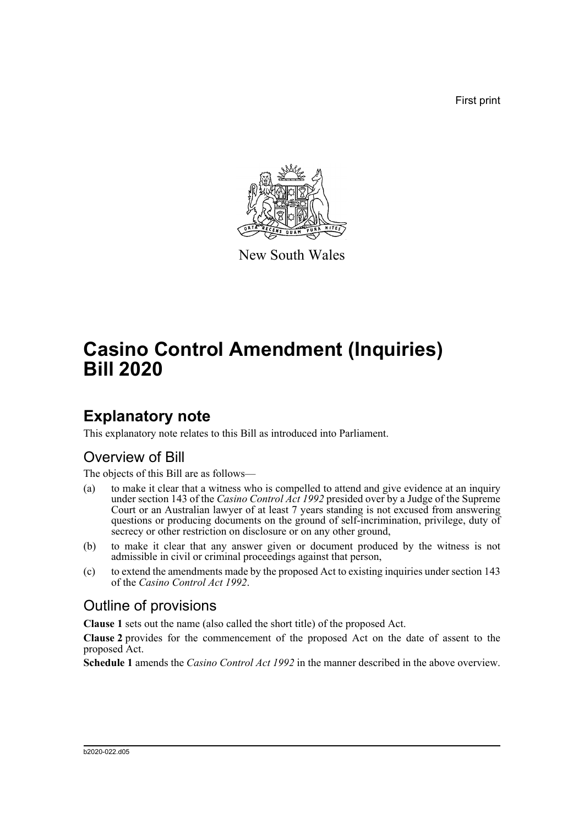First print



New South Wales

# **Casino Control Amendment (Inquiries) Bill 2020**

## **Explanatory note**

This explanatory note relates to this Bill as introduced into Parliament.

### Overview of Bill

The objects of this Bill are as follows—

- (a) to make it clear that a witness who is compelled to attend and give evidence at an inquiry under section 143 of the *Casino Control Act 1992* presided over by a Judge of the Supreme Court or an Australian lawyer of at least 7 years standing is not excused from answering questions or producing documents on the ground of self-incrimination, privilege, duty of secrecy or other restriction on disclosure or on any other ground,
- (b) to make it clear that any answer given or document produced by the witness is not admissible in civil or criminal proceedings against that person,
- (c) to extend the amendments made by the proposed Act to existing inquiries under section 143 of the *Casino Control Act 1992*.

### Outline of provisions

**Clause 1** sets out the name (also called the short title) of the proposed Act.

**Clause 2** provides for the commencement of the proposed Act on the date of assent to the proposed Act.

**Schedule 1** amends the *Casino Control Act 1992* in the manner described in the above overview.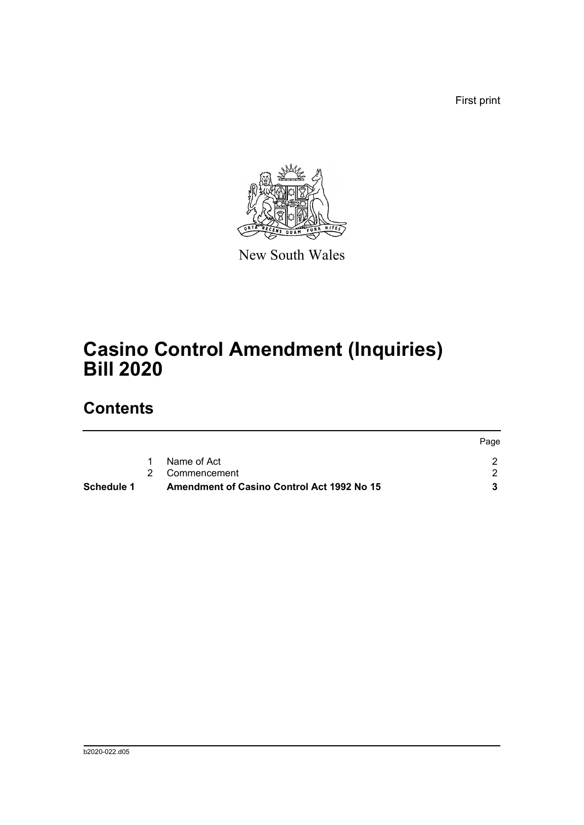First print

Page



New South Wales

# **Casino Control Amendment (Inquiries) Bill 2020**

## **Contents**

| Schedule 1 | <b>Amendment of Casino Control Act 1992 No 15</b> |             |
|------------|---------------------------------------------------|-------------|
|            | 2 Commencement                                    |             |
|            | Name of Act                                       |             |
|            |                                                   | <b>Fage</b> |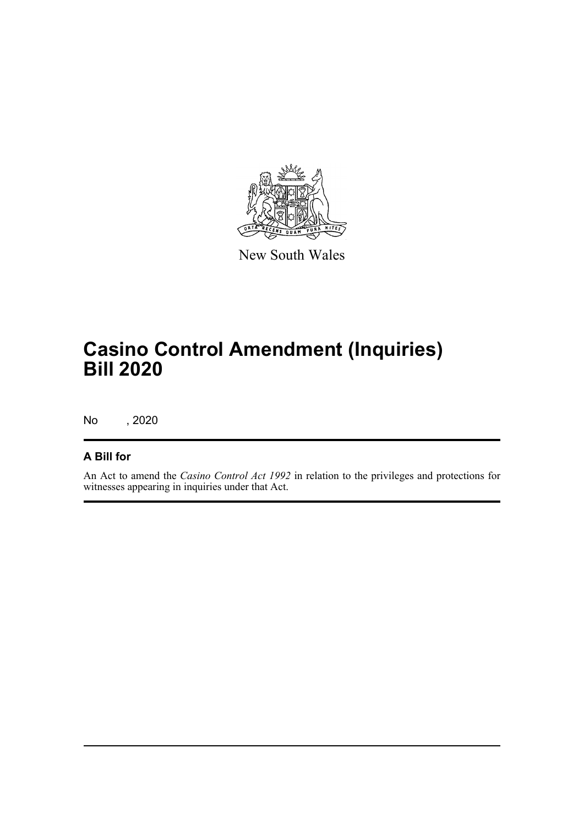

New South Wales

# **Casino Control Amendment (Inquiries) Bill 2020**

No , 2020

#### **A Bill for**

An Act to amend the *Casino Control Act 1992* in relation to the privileges and protections for witnesses appearing in inquiries under that Act.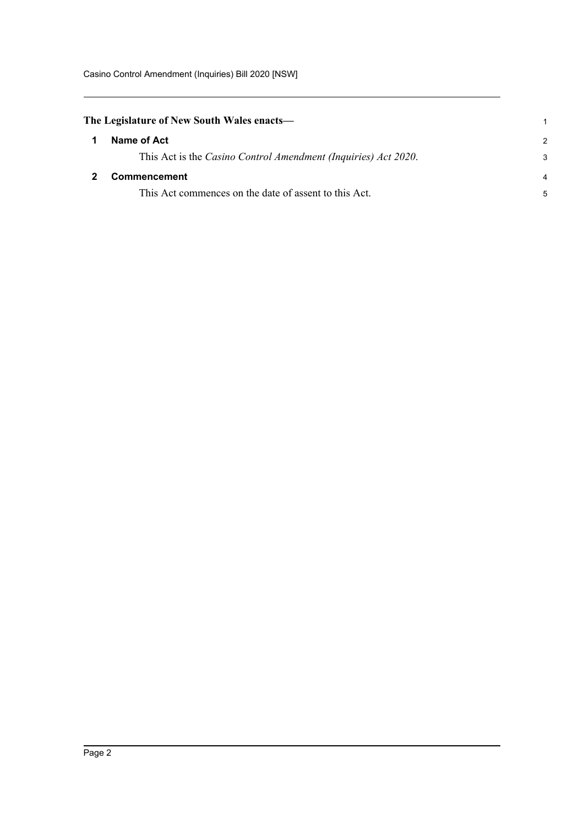Casino Control Amendment (Inquiries) Bill 2020 [NSW]

<span id="page-3-1"></span><span id="page-3-0"></span>

| The Legislature of New South Wales enacts—                     |               |  |
|----------------------------------------------------------------|---------------|--|
| Name of Act                                                    | $\mathcal{P}$ |  |
| This Act is the Casino Control Amendment (Inquiries) Act 2020. | 3             |  |
| <b>Commencement</b>                                            | 4             |  |
| This Act commences on the date of assent to this Act.          | 5             |  |
|                                                                |               |  |